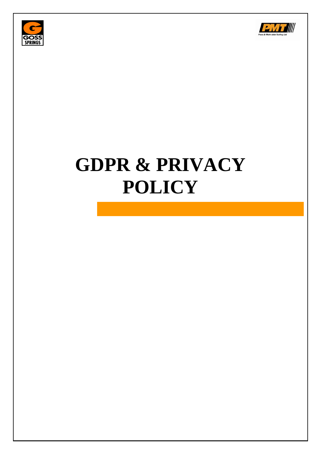



# **GDPR & PRIVACY POLICY**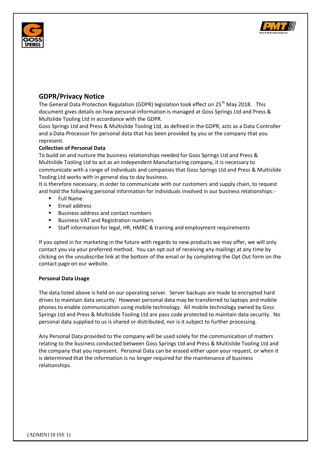



# **GDPR/Privacy Notice**

The General Data Protection Regulation (GDPR) legislation took effect on 25<sup>th</sup> May 2018. This document gives details on how personal information is managed at Goss Springs Ltd and Press & Multslide Tooling Ltd in accordance with the GDPR.

Goss Springs Ltd and Press & Multislide Tooling Ltd, as defined in the GDPR, acts as a Data Controller and a Data Processor for personal data that has been provided by you or the company that you represent.

## **Collection of Personal Data**

To build on and nurture the business relationships needed for Goss Springs Ltd and Press & Multislide Tooling Ltd to act as an independent Manufacturing company, it is necessary to communicate with a range of individuals and companies that Goss Springs Ltd and Press & Multislide Tooling Ltd works with in general day to day business.

It is therefore necessary, in order to communicate with our customers and supply chain, to request and hold the following personal information for individuals involved in our business relationships:-

- Full Name
- Email address
- **Business address and contact numbers**
- Business VAT and Registration numbers
- **EXTERF** Staff information for legal, HR, HMRC & training and employment requirements

If you opted in for marketing in the future with regards to new products we may offer, we will only contact you via your preferred method. You can opt out of receiving any mailings at any time by clicking on the unsubscribe link at the bottom of the email or by completing the Opt Out form on the contact page on our website.

### **Personal Data Usage**

The data listed above is held on our operating server. Server backups are made to encrypted hard drives to maintain data security. However personal data may be transferred to laptops and mobile phones to enable communication using mobile technology. All mobile technology owned by Goss Springs Ltd and Press & Multislide Tooling Ltd are pass code protected to maintain data security. No personal data supplied to us is shared or distributed, nor is it subject to further processing.

Any Personal Data provided to the company will be used solely for the communication of matters relating to the business conducted between Goss Springs Ltd and Press & Multislide Tooling Ltd and the company that you represent. Personal Data can be erased either upon your request, or when it is determined that the information is no longer required for the maintenance of business relationships.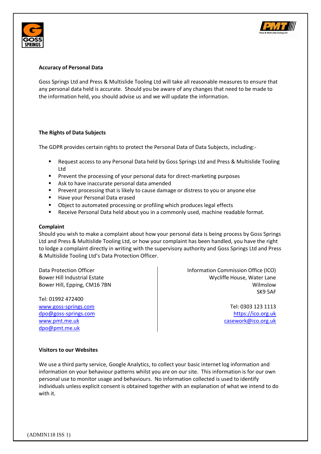



#### **Accuracy of Personal Data**

Goss Springs Ltd and Press & Multislide Tooling Ltd will take all reasonable measures to ensure that any personal data held is accurate. Should you be aware of any changes that need to be made to the information held, you should advise us and we will update the information.

### **The Rights of Data Subjects**

The GDPR provides certain rights to protect the Personal Data of Data Subjects, including:-

- Request access to any Personal Data held by Goss Springs Ltd and Press & Multislide Tooling Ltd
- Prevent the processing of your personal data for direct-marketing purposes
- Ask to have inaccurate personal data amended
- **Prevent processing that is likely to cause damage or distress to you or anyone else**
- Have your Personal Data erased
- **•** Object to automated processing or profiling which produces legal effects
- Receive Personal Data held about you in a commonly used, machine readable format.

#### **Complaint**

Should you wish to make a complaint about how your personal data is being process by Goss Springs Ltd and Press & Multislide Tooling Ltd, or how your complaint has been handled, you have the right to lodge a complaint directly in writing with the supervisory authority and Goss Springs Ltd and Press & Multislide Tooling Ltd's Data Protection Officer.

Tel: 01992 472400 [www.goss-springs.com](http://www.goss-springs.com/) and the community of the community of the community of the community of the community of the community of the community of the community of the community of the community of the community of the commun [dpo@goss-springs.com](mailto:dpo@goss-springs.com) [https://ico.org.uk](https://ico.org.uk/) [www.pmt.me.uk](http://www.pmt.me.uk/) [casework@ico.org.uk](mailto:casework@ico.org.uk) [dpo@pmt.me.uk](mailto:dpo@pmt.me.uk)

Data Protection Officer **Information Commission Office (ICO)** and Information Commission Office (ICO) Bower Hill Industrial Estate National According to Mycliffe House, Water Lane Bower Hill, Epping, CM16 7BN Wilmslow SK9 5AF

#### **Visitors to our Websites**

We use a third party service, Google Analytics, to collect your basic internet log information and information on your behaviour patterns whilst you are on our site. This information is for our own personal use to monitor usage and behaviours. No information collected is used to identify individuals unless explicit consent is obtained together with an explanation of what we intend to do with it.